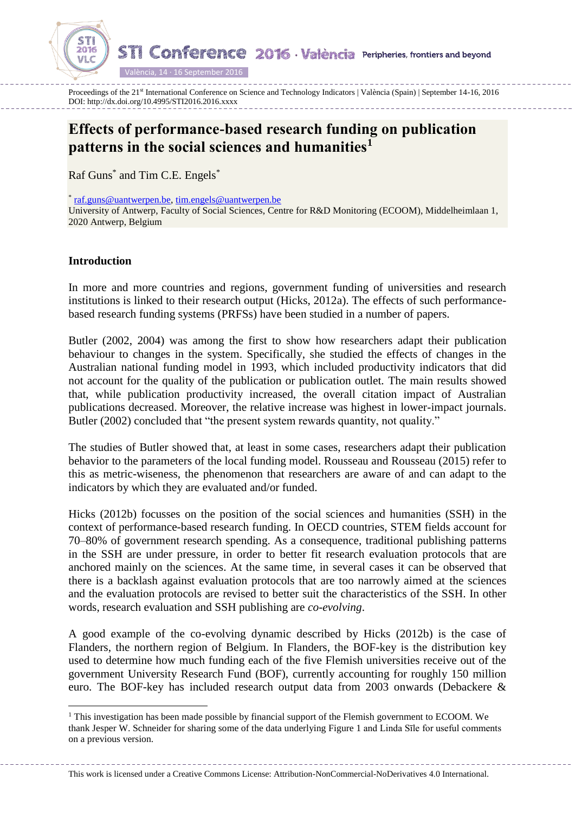**STI Conference 2016 València Peripheries, frontiers and beyond** 

València, 14 · 16 September 2016

Proceedings of the 21<sup>st</sup> International Conference on Science and Technology Indicators | València (Spain) | September 14-16, 2016 DOI: http://dx.doi.org/10.4995/STI2016.2016.xxxx

# **Effects of performance-based research funding on publication patterns in the social sciences and humanities<sup>1</sup>**

Raf Guns<sup>\*</sup> and Tim C.E. Engels<sup>\*</sup>

\* [raf.guns@uantwerpen.be,](mailto:raf.guns@uantwerpen.be) [tim.engels@uantwerpen.be](mailto:tim.engels@uantwerpen.be)

University of Antwerp, Faculty of Social Sciences, Centre for R&D Monitoring (ECOOM), Middelheimlaan 1, 2020 Antwerp, Belgium

# **Introduction**

2016

 $\overline{a}$ 

In more and more countries and regions, government funding of universities and research institutions is linked to their research output (Hicks, 2012a). The effects of such performancebased research funding systems (PRFSs) have been studied in a number of papers.

Butler (2002, 2004) was among the first to show how researchers adapt their publication behaviour to changes in the system. Specifically, she studied the effects of changes in the Australian national funding model in 1993, which included productivity indicators that did not account for the quality of the publication or publication outlet. The main results showed that, while publication productivity increased, the overall citation impact of Australian publications decreased. Moreover, the relative increase was highest in lower-impact journals. Butler (2002) concluded that "the present system rewards quantity, not quality."

The studies of Butler showed that, at least in some cases, researchers adapt their publication behavior to the parameters of the local funding model. Rousseau and Rousseau (2015) refer to this as metric-wiseness, the phenomenon that researchers are aware of and can adapt to the indicators by which they are evaluated and/or funded.

Hicks (2012b) focusses on the position of the social sciences and humanities (SSH) in the context of performance-based research funding. In OECD countries, STEM fields account for 70–80% of government research spending. As a consequence, traditional publishing patterns in the SSH are under pressure, in order to better fit research evaluation protocols that are anchored mainly on the sciences. At the same time, in several cases it can be observed that there is a backlash against evaluation protocols that are too narrowly aimed at the sciences and the evaluation protocols are revised to better suit the characteristics of the SSH. In other words, research evaluation and SSH publishing are *co-evolving*.

A good example of the co-evolving dynamic described by Hicks (2012b) is the case of Flanders, the northern region of Belgium. In Flanders, the BOF-key is the distribution key used to determine how much funding each of the five Flemish universities receive out of the government University Research Fund (BOF), currently accounting for roughly 150 million euro. The BOF-key has included research output data from 2003 onwards (Debackere &

This work is licensed under a Creative Commons License: Attribution-NonCommercial-NoDerivatives 4.0 International.

<sup>&</sup>lt;sup>1</sup> This investigation has been made possible by financial support of the Flemish government to ECOOM. We thank Jesper W. Schneider for sharing some of the data underlying [Figure 1](#page-3-0) and Linda Sīle for useful comments on a previous version.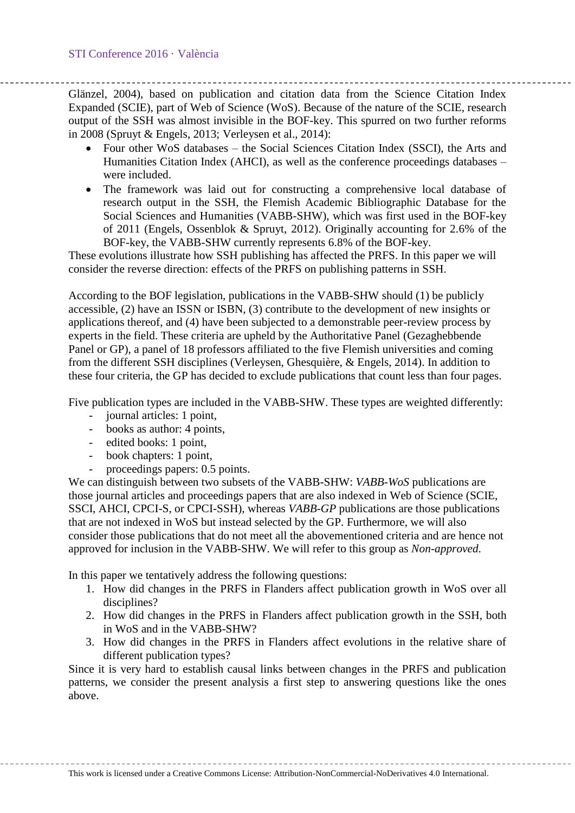Glänzel, 2004), based on publication and citation data from the Science Citation Index Expanded (SCIE), part of Web of Science (WoS). Because of the nature of the SCIE, research output of the SSH was almost invisible in the BOF-key. This spurred on two further reforms in 2008 (Spruyt & Engels, 2013; Verleysen et al., 2014):

- Four other WoS databases the Social Sciences Citation Index (SSCI), the Arts and Humanities Citation Index (AHCI), as well as the conference proceedings databases – were included.
- The framework was laid out for constructing a comprehensive local database of research output in the SSH, the Flemish Academic Bibliographic Database for the Social Sciences and Humanities (VABB-SHW), which was first used in the BOF-key of 2011 (Engels, Ossenblok & Spruyt, 2012). Originally accounting for 2.6% of the BOF-key, the VABB-SHW currently represents 6.8% of the BOF-key.

These evolutions illustrate how SSH publishing has affected the PRFS. In this paper we will consider the reverse direction: effects of the PRFS on publishing patterns in SSH.

According to the BOF legislation, publications in the VABB-SHW should (1) be publicly accessible, (2) have an ISSN or ISBN, (3) contribute to the development of new insights or applications thereof, and (4) have been subjected to a demonstrable peer-review process by experts in the field. These criteria are upheld by the Authoritative Panel (Gezaghebbende Panel or GP), a panel of 18 professors affiliated to the five Flemish universities and coming from the different SSH disciplines (Verleysen, Ghesquière, & Engels, 2014). In addition to these four criteria, the GP has decided to exclude publications that count less than four pages.

Five publication types are included in the VABB-SHW. These types are weighted differently:

- journal articles: 1 point,
- books as author: 4 points,
- edited books: 1 point,
- book chapters: 1 point,
- proceedings papers: 0.5 points.

We can distinguish between two subsets of the VABB-SHW: *VABB-WoS* publications are those journal articles and proceedings papers that are also indexed in Web of Science (SCIE, SSCI, AHCI, CPCI-S, or CPCI-SSH), whereas *VABB-GP* publications are those publications that are not indexed in WoS but instead selected by the GP. Furthermore, we will also consider those publications that do not meet all the abovementioned criteria and are hence not approved for inclusion in the VABB-SHW. We will refer to this group as *Non-approved*.

In this paper we tentatively address the following questions:

- 1. How did changes in the PRFS in Flanders affect publication growth in WoS over all disciplines?
- 2. How did changes in the PRFS in Flanders affect publication growth in the SSH, both in WoS and in the VABB-SHW?
- 3. How did changes in the PRFS in Flanders affect evolutions in the relative share of different publication types?

Since it is very hard to establish causal links between changes in the PRFS and publication patterns, we consider the present analysis a first step to answering questions like the ones above.

This work is licensed under a Creative Commons License: Attribution-NonCommercial-NoDerivatives 4.0 International.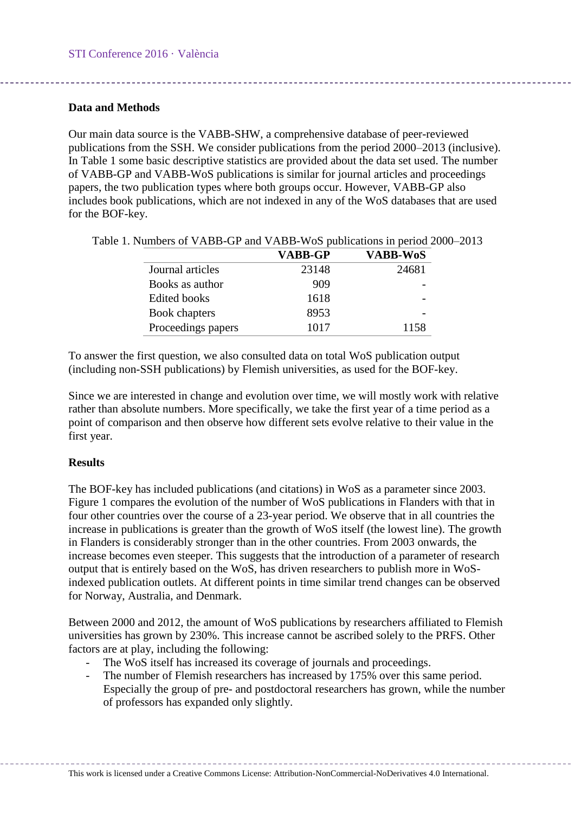## **Data and Methods**

Our main data source is the VABB-SHW, a comprehensive database of peer-reviewed publications from the SSH. We consider publications from the period 2000–2013 (inclusive). In [Table 1](#page-2-0) some basic descriptive statistics are provided about the data set used. The number of VABB-GP and VABB-WoS publications is similar for journal articles and proceedings papers, the two publication types where both groups occur. However, VABB-GP also includes book publications, which are not indexed in any of the WoS databases that are used for the BOF-key.

|                     | <b>VABB-GP</b> | <b>VABB-WoS</b> |
|---------------------|----------------|-----------------|
| Journal articles    | 23148          | 24681           |
| Books as author     | 909            |                 |
| <b>Edited books</b> | 1618           |                 |
| Book chapters       | 8953           |                 |
| Proceedings papers  | 1017           | 1158            |

<span id="page-2-0"></span>Table 1. Numbers of VABB-GP and VABB-WoS publications in period 2000–2013

To answer the first question, we also consulted data on total WoS publication output (including non-SSH publications) by Flemish universities, as used for the BOF-key.

Since we are interested in change and evolution over time, we will mostly work with relative rather than absolute numbers. More specifically, we take the first year of a time period as a point of comparison and then observe how different sets evolve relative to their value in the first year.

# **Results**

The BOF-key has included publications (and citations) in WoS as a parameter since 2003. [Figure 1](#page-3-0) compares the evolution of the number of WoS publications in Flanders with that in four other countries over the course of a 23-year period. We observe that in all countries the increase in publications is greater than the growth of WoS itself (the lowest line). The growth in Flanders is considerably stronger than in the other countries. From 2003 onwards, the increase becomes even steeper. This suggests that the introduction of a parameter of research output that is entirely based on the WoS, has driven researchers to publish more in WoSindexed publication outlets. At different points in time similar trend changes can be observed for Norway, Australia, and Denmark.

Between 2000 and 2012, the amount of WoS publications by researchers affiliated to Flemish universities has grown by 230%. This increase cannot be ascribed solely to the PRFS. Other factors are at play, including the following:

- The WoS itself has increased its coverage of journals and proceedings.
- The number of Flemish researchers has increased by 175% over this same period. Especially the group of pre- and postdoctoral researchers has grown, while the number of professors has expanded only slightly.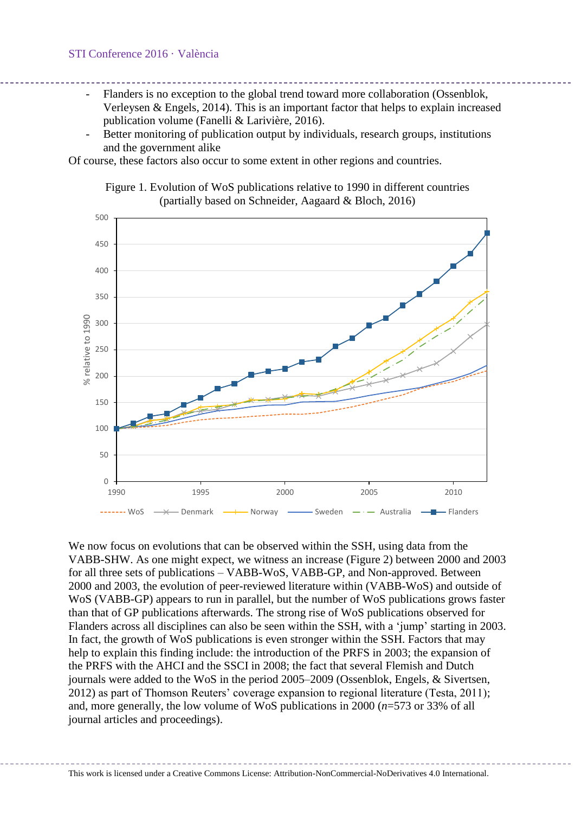- Flanders is no exception to the global trend toward more collaboration (Ossenblok, Verleysen & Engels, 2014). This is an important factor that helps to explain increased publication volume (Fanelli & Larivière, 2016).
- Better monitoring of publication output by individuals, research groups, institutions and the government alike

<span id="page-3-0"></span>Of course, these factors also occur to some extent in other regions and countries.



Figure 1. Evolution of WoS publications relative to 1990 in different countries (partially based on Schneider, Aagaard & Bloch, 2016)

We now focus on evolutions that can be observed within the SSH, using data from the VABB-SHW. As one might expect, we witness an increase [\(Figure 2\)](#page-4-0) between 2000 and 2003 for all three sets of publications – VABB-WoS, VABB-GP, and Non-approved. Between 2000 and 2003, the evolution of peer-reviewed literature within (VABB-WoS) and outside of WoS (VABB-GP) appears to run in parallel, but the number of WoS publications grows faster than that of GP publications afterwards. The strong rise of WoS publications observed for Flanders across all disciplines can also be seen within the SSH, with a 'jump' starting in 2003. In fact, the growth of WoS publications is even stronger within the SSH. Factors that may help to explain this finding include: the introduction of the PRFS in 2003; the expansion of the PRFS with the AHCI and the SSCI in 2008; the fact that several Flemish and Dutch journals were added to the WoS in the period 2005–2009 (Ossenblok, Engels, & Sivertsen, 2012) as part of Thomson Reuters' coverage expansion to regional literature (Testa, 2011); and, more generally, the low volume of WoS publications in 2000 (*n*=573 or 33% of all journal articles and proceedings).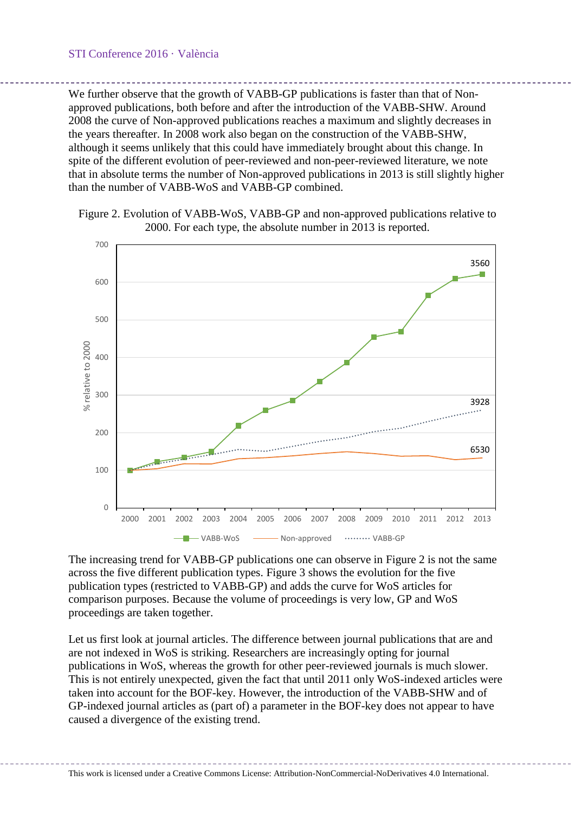We further observe that the growth of VABB-GP publications is faster than that of Nonapproved publications, both before and after the introduction of the VABB-SHW. Around 2008 the curve of Non-approved publications reaches a maximum and slightly decreases in the years thereafter. In 2008 work also began on the construction of the VABB-SHW, although it seems unlikely that this could have immediately brought about this change. In spite of the different evolution of peer-reviewed and non-peer-reviewed literature, we note that in absolute terms the number of Non-approved publications in 2013 is still slightly higher than the number of VABB-WoS and VABB-GP combined.

<span id="page-4-0"></span>



The increasing trend for VABB-GP publications one can observe in [Figure 2](#page-4-0) is not the same across the five different publication types. [Figure 3](#page-5-0) shows the evolution for the five publication types (restricted to VABB-GP) and adds the curve for WoS articles for comparison purposes. Because the volume of proceedings is very low, GP and WoS proceedings are taken together.

Let us first look at journal articles. The difference between journal publications that are and are not indexed in WoS is striking. Researchers are increasingly opting for journal publications in WoS, whereas the growth for other peer-reviewed journals is much slower. This is not entirely unexpected, given the fact that until 2011 only WoS-indexed articles were taken into account for the BOF-key. However, the introduction of the VABB-SHW and of GP-indexed journal articles as (part of) a parameter in the BOF-key does not appear to have caused a divergence of the existing trend.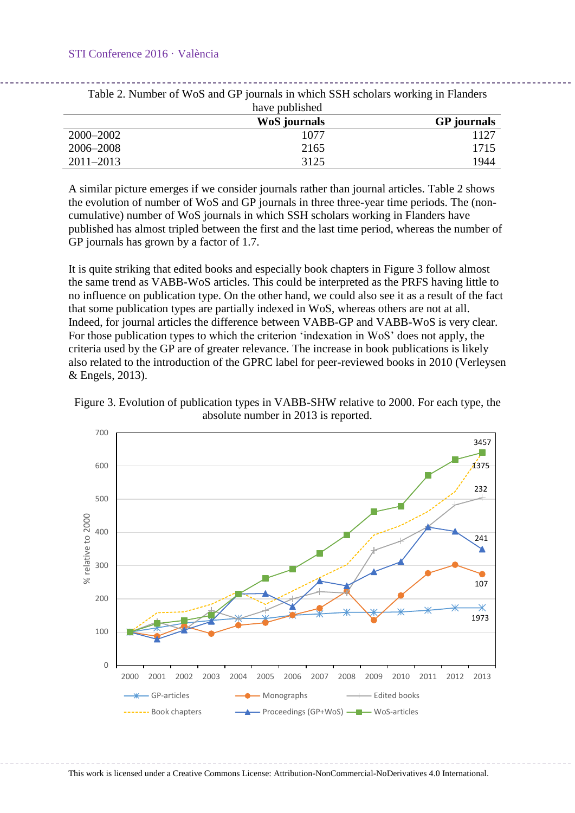#### STI Conference 2016 · València

<span id="page-5-1"></span>

| have published |              |                    |
|----------------|--------------|--------------------|
|                | WoS journals | <b>GP</b> journals |
| 2000–2002      | 1077         | 1127               |
| 2006–2008      | 2165         | 1715               |
| $2011 - 2013$  | 3125         | 1944               |

Table 2. Number of WoS and GP journals in which SSH scholars working in Flanders

A similar picture emerges if we consider journals rather than journal articles. [Table 2](#page-5-1) shows the evolution of number of WoS and GP journals in three three-year time periods. The (noncumulative) number of WoS journals in which SSH scholars working in Flanders have published has almost tripled between the first and the last time period, whereas the number of GP journals has grown by a factor of 1.7.

It is quite striking that edited books and especially book chapters in [Figure 3](#page-5-0) follow almost the same trend as VABB-WoS articles. This could be interpreted as the PRFS having little to no influence on publication type. On the other hand, we could also see it as a result of the fact that some publication types are partially indexed in WoS, whereas others are not at all. Indeed, for journal articles the difference between VABB-GP and VABB-WoS is very clear. For those publication types to which the criterion 'indexation in WoS' does not apply, the criteria used by the GP are of greater relevance. The increase in book publications is likely also related to the introduction of the GPRC label for peer-reviewed books in 2010 (Verleysen & Engels, 2013).

<span id="page-5-0"></span>



This work is licensed under a Creative Commons License: Attribution-NonCommercial-NoDerivatives 4.0 International.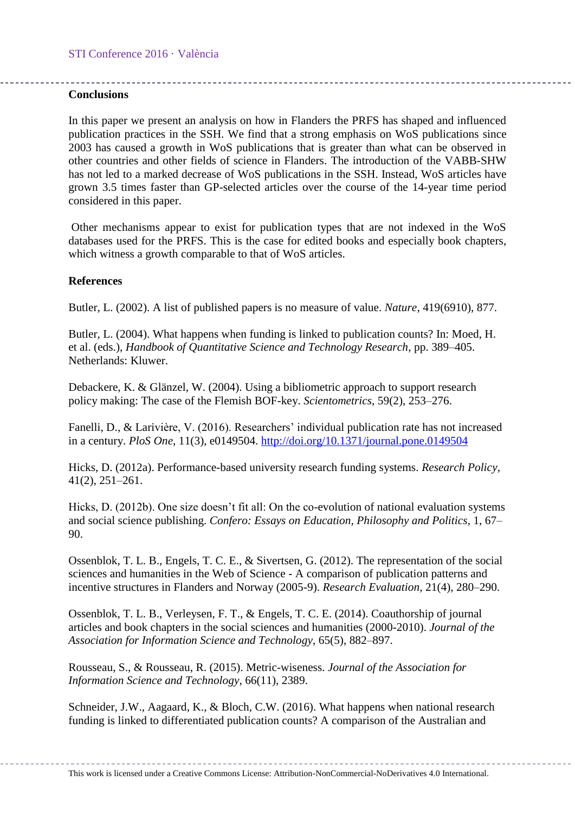## **Conclusions**

In this paper we present an analysis on how in Flanders the PRFS has shaped and influenced publication practices in the SSH. We find that a strong emphasis on WoS publications since 2003 has caused a growth in WoS publications that is greater than what can be observed in other countries and other fields of science in Flanders. The introduction of the VABB-SHW has not led to a marked decrease of WoS publications in the SSH. Instead, WoS articles have grown 3.5 times faster than GP-selected articles over the course of the 14-year time period considered in this paper.

Other mechanisms appear to exist for publication types that are not indexed in the WoS databases used for the PRFS. This is the case for edited books and especially book chapters, which witness a growth comparable to that of WoS articles.

### **References**

Butler, L. (2002). A list of published papers is no measure of value. *Nature*, 419(6910), 877.

Butler, L. (2004). What happens when funding is linked to publication counts? In: Moed, H. et al. (eds.), *Handbook of Quantitative Science and Technology Research*, pp. 389–405. Netherlands: Kluwer.

Debackere, K. & Glänzel, W. (2004). Using a bibliometric approach to support research policy making: The case of the Flemish BOF-key. *Scientometrics*, 59(2), 253–276.

Fanelli, D., & Larivière, V. (2016). Researchers' individual publication rate has not increased in a century. *PloS One*, 11(3), e0149504.<http://doi.org/10.1371/journal.pone.0149504>

Hicks, D. (2012a). Performance-based university research funding systems. *Research Policy*, 41(2), 251–261.

Hicks, D. (2012b). One size doesn't fit all: On the co-evolution of national evaluation systems and social science publishing. *Confero: Essays on Education, Philosophy and Politics*, 1, 67– 90.

Ossenblok, T. L. B., Engels, T. C. E., & Sivertsen, G. (2012). The representation of the social sciences and humanities in the Web of Science - A comparison of publication patterns and incentive structures in Flanders and Norway (2005-9). *Research Evaluation*, 21(4), 280–290.

Ossenblok, T. L. B., Verleysen, F. T., & Engels, T. C. E. (2014). Coauthorship of journal articles and book chapters in the social sciences and humanities (2000-2010). *Journal of the Association for Information Science and Technology*, 65(5), 882–897.

Rousseau, S., & Rousseau, R. (2015). Metric-wiseness. *Journal of the Association for Information Science and Technology*, 66(11), 2389.

Schneider, J.W., Aagaard, K., & Bloch, C.W. (2016). What happens when national research funding is linked to differentiated publication counts? A comparison of the Australian and